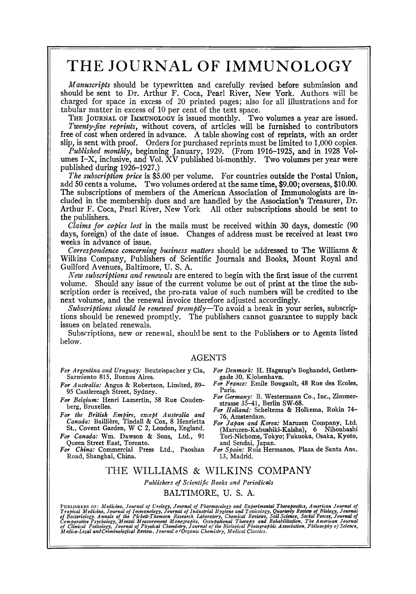## **THE JOURNAL OF IMMUNOLOGY**

*Manuscripts* should be typewritten and carefully revised before submission and should be sent to Dr. Arthur F. Coca, Pearl River, New York. Authors will be charged for space in excess of 20 printed pages: also for all illustrations and for tabular matter in excess of 10 per cent of the text space.

THE JOURNAL OF IMMUNOLOGY is issued monthly. Two volumes a year are issued. *Twenty-five reprints,* without covers, of articles will be furnished to contributors free of cost when ordered in advance. A table showing cost of reprints, with an order slip, is sent with proof. Orders for purchased reprints must be limited to 1,000 copies.

*Published monthly,* beginning January, 1929. (From 1916-1925, and in 1928 Volumes I-X, inclusive, and Vol.  $\overline{X}V$  published bi-monthly. Two volumes per year were published during 1926-1927.)

*The subscription price* is \$5.00 per volume. For countries outside the Postal Union, add 50 cents a volume. Two volumes ordered at the same time, \$9.00; overseas, \$10.00. The subscriptions of members of the American Association of Immunologists are included in the membership dues and are handled by the Association's Treasurer, Dr. Arthur F. Coca, Pearl River, New York All other subscriptions should be sent to the publishers.

*Claims for copies lost* in the mails must be received within 30 days, domestic (90 days, foreign) of the date of issue. Changes of address must be received at least two weeks in advance of issue.

*Correspondence concerning business matters* should be addressed to The Williams & Wilkins Company, Publishers of Scientific Journals and Books, Mount Royal and Guilford Avenues, Baltimore, U. S. A.

*New subscriptions and renewals* are entered to begin with the first issue of the current volume. Should any issue of the current volume be out of print at the time the subscription order is received, the pro-rata value of such numbers will be credited to the next volume, and the renewal invoice therefore adjusted accordingly.

*Subscriptions should be renewed promptly*—To avoid a break in your series, subscriptions should be renewed promptly. The publishers cannot guarantee to supply back issues on belated renewals.

Subscriptions, new or renewal, should be sent to the Publishers or to Agents listed below.

#### AGENTS

- *For Argentina and Uruguay:* Beuteispacher y Cia, Sarmiento 815, Buenos Aires.
- *For Australia:* Angus & Robertson, Limited, 89- 95 Casflereagh Street, Sydney.
- *For Belgium:* Henri Lamertin, 58 Rue Coudenberg, Bruxelles.
- *For the British Empire, except Australia and*  Canada: Baillière, Tindall & Cox, 8 Henrietta St., Covent Garden, W C 2, London, England.
- *For Canada:* Wm. Dawson & Sons, Ltd., 91 Queen Street East, Toronto.
- *For China:* Commercial Press Ltd., Paoshan Road, Shanghai, China.
- *For Denmark:* H. Hagerup's Boghandel, Gothersgade 30, Kjobenhavm
- *For France:* Emile Bougault, 48 Rue des Ecoles, Paris.
- *For Germany:* B. Westermann Co, Inc., Zimmerstrasse 35-41, Berlin SW-68.
- *For Holland:* Scheltema & Holkema, Rokin 74- 76, Amsterdam.
- *For Japan and Korea:* Maruzen Company, Ltd. (Maruzen-Kabushiki-Kaisha), 6 Nihonbashi Tori-Nichome, Tokyo; Fukuoka, Osaka, Kyoto, and Sendal, Japan. *For Spain:* Ruiz Hermanos, Plaza de Santa Ana,
- 13, Madrid.

### THE WILLIAMS & WILKINS COMPANY

*Publishers of Scientific Books and Periodicals* 

### BALTIMORE, **U. S. A.**

PUBLISHERS OF: Medicine, Journal of Urology, Journal of Pharmacology and Experimental Therapeutics, American Journal of<br>Tropical Medicine, Journal of Immunology, Journal of Industrial Hygiene and Toxicology, Quarterly Revi